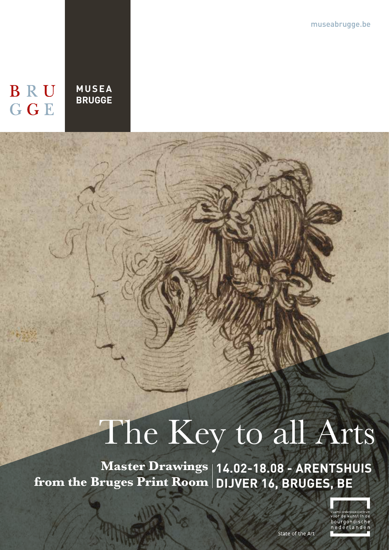museabrugge.be

## BRU **GGE**

**MUSEA BRUGGE**

# The Key to all Arts

**14.02-18.08 - ARENTSHUIS Master Drawings**  from the Bruges Print Room | DIJVER 16, BRUGES, BE

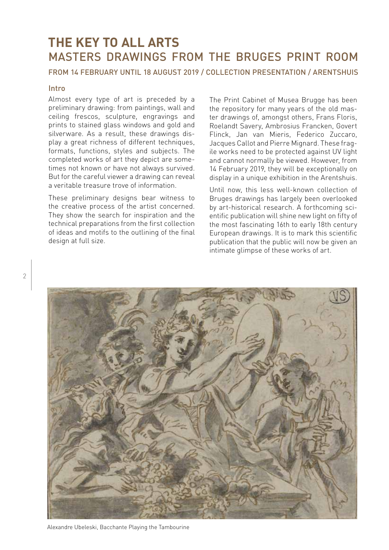### **THE KEY TO ALL ARTS** MASTERS DRAWINGS FROM THE BRUGES PRINT ROOM

#### FROM 14 FEBRUARY UNTIL 18 AUGUST 2019 / COLLECTION PRESENTATION / ARENTSHUIS

#### Intro

Almost every type of art is preceded by a preliminary drawing: from paintings, wall and ceiling frescos, sculpture, engravings and prints to stained glass windows and gold and silverware. As a result, these drawings display a great richness of different techniques, formats, functions, styles and subjects. The completed works of art they depict are sometimes not known or have not always survived. But for the careful viewer a drawing can reveal a veritable treasure trove of information.

These preliminary designs bear witness to the creative process of the artist concerned. They show the search for inspiration and the technical preparations from the first collection of ideas and motifs to the outlining of the final design at full size.

The Print Cabinet of Musea Brugge has been the repository for many years of the old master drawings of, amongst others, Frans Floris, Roelandt Savery, Ambrosius Francken, Govert Flinck, Jan van Mieris, Federico Zuccaro, Jacques Callot and Pierre Mignard. These fragile works need to be protected against UV light and cannot normally be viewed. However, from 14 February 2019, they will be exceptionally on display in a unique exhibition in the Arentshuis.

Until now, this less well-known collection of Bruges drawings has largely been overlooked by art-historical research. A forthcoming scientific publication will shine new light on fifty of the most fascinating 16th to early 18th century European drawings. It is to mark this scientific publication that the public will now be given an intimate glimpse of these works of art.



Alexandre Ubeleski, Bacchante Playing the Tambourine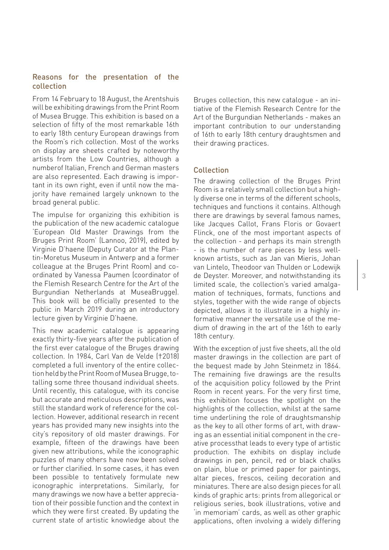#### Reasons for the presentation of the collection

From 14 February to 18 August, the Arentshuis will be exhibiting drawings from the Print Room of Musea Brugge. This exhibition is based on a selection of fifty of the most remarkable 16th to early 18th century European drawings from the Room's rich collection. Most of the works on display are sheets crafted by noteworthy artists from the Low Countries, although a numberof Italian, French and German masters are also represented. Each drawing is important in its own right, even if until now the majority have remained largely unknown to the broad general public.

The impulse for organizing this exhibition is the publication of the new academic catalogue 'European Old Master Drawings from the Bruges Print Room' (Lannoo, 2019), edited by Virginie D'haene (Deputy Curator at the Plantin-Moretus Museum in Antwerp and a former colleague at the Bruges Print Room) and coordinated by Vanessa Paumen (coordinator of the Flemish Research Centre for the Art of the Burgundian Netherlands at MuseaBrugge). This book will be officially presented to the public in March 2019 during an introductory lecture given by Virginie D'haene.

This new academic catalogue is appearing exactly thirty-five years after the publication of the first ever catalogue of the Bruges drawing collection. In 1984, Carl Van de Velde (†2018) completed a full inventory of the entire collection held by the Print Room of Musea Brugge, totalling some three thousand individual sheets. Until recently, this catalogue, with its concise but accurate and meticulous descriptions, was still the standard work of reference for the collection. However, additional research in recent years has provided many new insights into the city's repository of old master drawings. For example, fifteen of the drawings have been given new attributions, while the iconographic puzzles of many others have now been solved or further clarified. In some cases, it has even been possible to tentatively formulate new iconographic interpretations. Similarly, for many drawings we now have a better appreciation of their possible function and the context in which they were first created. By updating the current state of artistic knowledge about the

Bruges collection, this new catalogue - an initiative of the Flemish Research Centre for the Art of the Burgundian Netherlands - makes an important contribution to our understanding of 16th to early 18th century draughtsmen and their drawing practices.

#### Collection

The drawing collection of the Bruges Print Room is a relatively small collection but a highly diverse one in terms of the different schools, techniques and functions it contains. Although there are drawings by several famous names, like Jacques Callot, Frans Floris or Govaert Flinck, one of the most important aspects of the collection - and perhaps its main strength - is the number of rare pieces by less wellknown artists, such as Jan van Mieris, Johan van Lintelo, Theodoor van Thulden or Lodewijk de Deyster. Moreover, and notwithstanding its limited scale, the collection's varied amalgamation of techniques, formats, functions and styles, together with the wide range of objects depicted, allows it to illustrate in a highly informative manner the versatile use of the medium of drawing in the art of the 16th to early 18th century.

With the exception of just five sheets, all the old master drawings in the collection are part of the bequest made by John Steinmetz in 1864. The remaining five drawings are the results of the acquisition policy followed by the Print Room in recent years. For the very first time, this exhibition focuses the spotlight on the highlights of the collection, whilst at the same time underlining the role of draughtsmanship as the key to all other forms of art, with drawing as an essential initial component in the creative processthat leads to every type of artistic production. The exhibits on display include drawings in pen, pencil, red or black chalks on plain, blue or primed paper for paintings, altar pieces, frescos, ceiling decoration and miniatures. There are also design pieces for all kinds of graphic arts: prints from allegorical or religious series, book illustrations, votive and 'in memoriam' cards, as well as other graphic applications, often involving a widely differing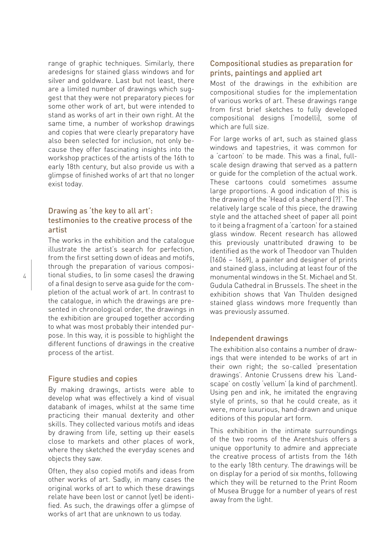range of graphic techniques. Similarly, there aredesigns for stained glass windows and for silver and goldware. Last but not least, there are a limited number of drawings which suggest that they were not preparatory pieces for some other work of art, but were intended to stand as works of art in their own right. At the same time, a number of workshop drawings and copies that were clearly preparatory have also been selected for inclusion, not only because they offer fascinating insights into the workshop practices of the artists of the 16th to early 18th century, but also provide us with a glimpse of finished works of art that no longer exist today.

#### Drawing as 'the key to all art': testimonies to the creative process of the artist

The works in the exhibition and the catalogue illustrate the artist's search for perfection, from the first setting down of ideas and motifs, through the preparation of various compositional studies, to (in some cases) the drawing of a final design to serve asa guide for the completion of the actual work of art. In contrast to the catalogue, in which the drawings are presented in chronological order, the drawings in the exhibition are grouped together according to what was most probably their intended purpose. In this way, it is possible to highlight the different functions of drawings in the creative process of the artist.

#### Figure studies and copies

By making drawings, artists were able to develop what was effectively a kind of visual databank of images, whilst at the same time practicing their manual dexterity and other skills. They collected various motifs and ideas by drawing from life, setting up their easels close to markets and other places of work, where they sketched the everyday scenes and objects they saw.

Often, they also copied motifs and ideas from other works of art. Sadly, in many cases the original works of art to which these drawings relate have been lost or cannot (yet) be identified. As such, the drawings offer a glimpse of works of art that are unknown to us today.

#### Compositional studies as preparation for prints, paintings and applied art

Most of the drawings in the exhibition are compositional studies for the implementation of various works of art. These drawings range from first brief sketches to fully developed compositional designs ('modelli), some of which are full size.

For large works of art, such as stained glass windows and tapestries, it was common for a 'cartoon' to be made. This was a final, fullscale design drawing that served as a pattern or guide for the completion of the actual work. These cartoons could sometimes assume large proportions. A good indication of this is the drawing of the 'Head of a shepherd (?)'. The relatively large scale of this piece, the drawing style and the attached sheet of paper all point to it being a fragment of a 'cartoon' for a stained glass window. Recent research has allowed this previously unattributed drawing to be identified as the work of Theodoor van Thulden (1606 – 1669), a painter and designer of prints and stained glass, including at least four of the monumental windows in the St. Michael and St. Gudula Cathedral in Brussels. The sheet in the exhibition shows that Van Thulden designed stained glass windows more frequently than was previously assumed.

#### Independent drawings

The exhibition also contains a number of drawings that were intended to be works of art in their own right; the so-called 'presentation drawings'. Antonie Crussens drew his 'Landscape' on costly 'vellum' (a kind of parchment). Using pen and ink, he imitated the engraving style of prints, so that he could create, as it were, more luxurious, hand-drawn and unique editions of this popular art form.

This exhibition in the intimate surroundings of the two rooms of the Arentshuis offers a unique opportunity to admire and appreciate the creative process of artists from the 16th to the early 18th century. The drawings will be on display for a period of six months, following which they will be returned to the Print Room of Musea Brugge for a number of years of rest away from the light.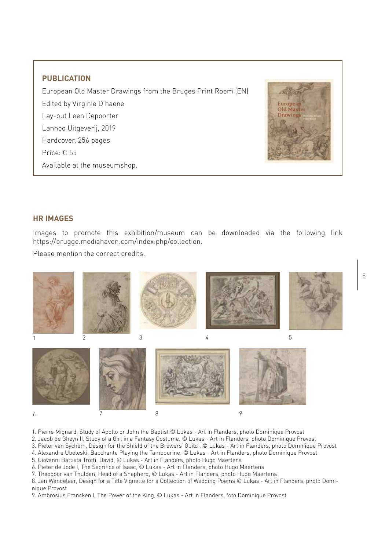#### **PUBLICATION**

European Old Master Drawings from the Bruges Print Room (EN) Edited by Virginie D'haene Lay-out Leen Depoorter Lannoo Uitgeverij, 2019 Hardcover, 256 pages Price: € 55 Available at the museumshop.



#### **HR IMAGES**

Images to promote this exhibition/museum can be downloaded via the following link https://brugge.mediahaven.com/index.php/collection.

Please mention the correct credits.



- 1. Pierre Mignard, Study of Apollo or John the Baptist © Lukas Art in Flanders, photo Dominique Provost
- 2. Jacob de Gheyn II, Study of a Girl in a Fantasy Costume, © Lukas Art in Flanders, photo Dominique Provost
- 3. Pieter van Sychem, Design for the Shield of the Brewers' Guild , © Lukas Art in Flanders, photo Dominique Provost
- 4. Alexandre Ubeleski, Bacchante Playing the Tambourine, © Lukas Art in Flanders, photo Dominique Provost
- 5. Giovanni Battista Trotti, David, © Lukas Art in Flanders, photo Hugo Maertens
- 6. Pieter de Jode I, The Sacrifice of Isaac, © Lukas Art in Flanders, photo Hugo Maertens
- 7. Theodoor van Thulden, Head of a Shepherd, © Lukas Art in Flanders, photo Hugo Maertens
- 8. Jan Wandelaar, Design for a Title Vignette for a Collection of Wedding Poems © Lukas Art in Flanders, photo Dominique Provost
- 9. Ambrosius Francken I, The Power of the King, © Lukas Art in Flanders, foto Dominique Provost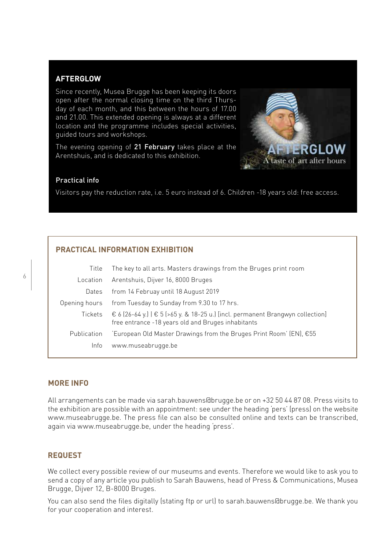#### **AFTERGLOW**

Since recently, Musea Brugge has been keeping its doors open after the normal closing time on the third Thursday of each month, and this between the hours of 17.00 and 21.00. This extended opening is always at a different location and the programme includes special activities, guided tours and workshops.

The evening opening of 21 February takes place at the Arentshuis, and is dedicated to this exhibition.



#### Practical info

Visitors pay the reduction rate, i.e. 5 euro instead of 6. Children -18 years old: free access.

#### **PRACTICAL INFORMATION EXHIBITION**

| Title              | The key to all arts. Masters drawings from the Bruges print room                                                                                             |
|--------------------|--------------------------------------------------------------------------------------------------------------------------------------------------------------|
| Location           | Arentshuis, Dijver 16, 8000 Bruges                                                                                                                           |
| Dates              | from 14 Februay until 18 August 2019                                                                                                                         |
| Opening hours      | from Tuesday to Sunday from 9.30 to 17 hrs.                                                                                                                  |
|                    | Tickets $\epsilon$ 6 (26-64 y.) $\epsilon$ 5 (>65 y. & 18-25 u.) [incl. permanent Brangwyn collection]<br>free entrance -18 years old and Bruges inhabitants |
| <b>Publication</b> | 'European Old Master Drawings from the Bruges Print Room' (EN), €55                                                                                          |
| Info               | www.museabrugge.be                                                                                                                                           |

#### **MORE INFO**

All arrangements can be made via sarah.bauwens@brugge.be or on +32 50 44 87 08. Press visits to the exhibition are possible with an appointment: see under the heading 'pers' (press) on the website www.museabrugge.be. The press file can also be consulted online and texts can be transcribed, again via www.museabrugge.be, under the heading 'press'.

#### **REQUEST**

We collect every possible review of our museums and events. Therefore we would like to ask you to send a copy of any article you publish to Sarah Bauwens, head of Press & Communications, Musea Brugge, Dijver 12, B-8000 Bruges.

You can also send the files digitally (stating ftp or url) to sarah.bauwens@brugge.be. We thank you for your cooperation and interest.